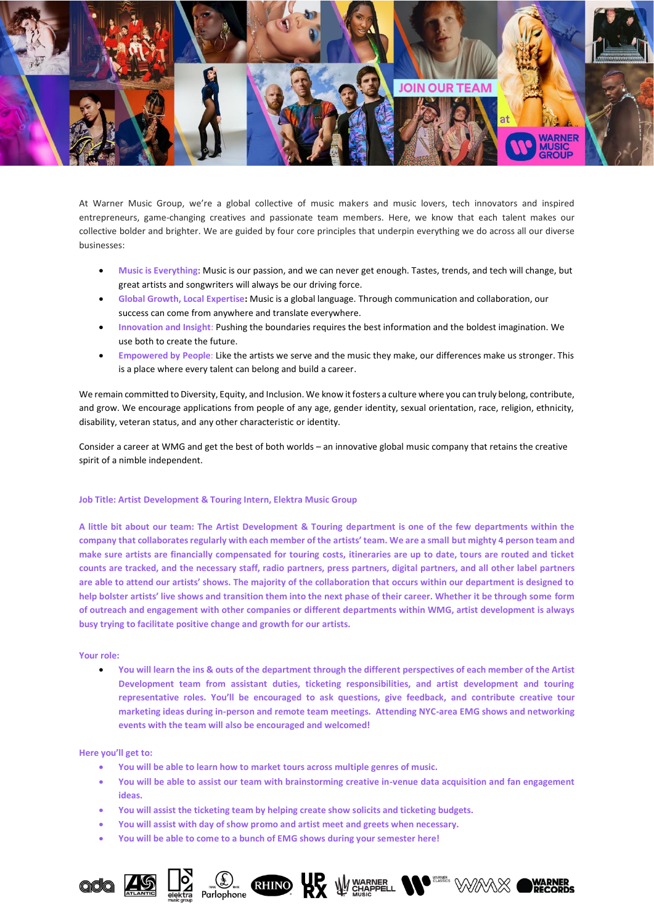

At Warner Music Group, we're a global collective of music makers and music lovers, tech innovators and inspired entrepreneurs, game-changing creatives and passionate team members. Here, we know that each talent makes our collective bolder and brighter. We are guided by four core principles that underpin everything we do across all our diverse businesses:

- **Music is Everything**: Music is our passion, and we can never get enough. Tastes, trends, and tech will change, but great artists and songwriters will always be our driving force.
- **Global Growth, Local Expertise:** Music is a global language. Through communication and collaboration, our success can come from anywhere and translate everywhere.
- **Innovation and Insight**: Pushing the boundaries requires the best information and the boldest imagination. We use both to create the future.
- **Empowered by People**: Like the artists we serve and the music they make, our differences make us stronger. This is a place where every talent can belong and build a career.

We remain committed to Diversity, Equity, and Inclusion. We know it fosters a culture where you can truly belong, contribute, and grow. We encourage applications from people of any age, gender identity, sexual orientation, race, religion, ethnicity, disability, veteran status, and any other characteristic or identity.

Consider a career at WMG and get the best of both worlds – an innovative global music company that retains the creative spirit of a nimble independent.

# **Job Title: Artist Development & Touring Intern, Elektra Music Group**

**A little bit about our team: The Artist Development & Touring department is one of the few departments within the company that collaborates regularly with each member of the artists' team. We are a small but mighty 4 person team and make sure artists are financially compensated for touring costs, itineraries are up to date, tours are routed and ticket counts are tracked, and the necessary staff, radio partners, press partners, digital partners, and all other label partners are able to attend our artists' shows. The majority of the collaboration that occurs within our department is designed to help bolster artists' live shows and transition them into the next phase of their career. Whether it be through some form of outreach and engagement with other companies or different departments within WMG, artist development is always busy trying to facilitate positive change and growth for our artists.**

### **Your role:**

• **You will learn the ins & outs of the department through the different perspectives of each member of the Artist Development team from assistant duties, ticketing responsibilities, and artist development and touring representative roles. You'll be encouraged to ask questions, give feedback, and contribute creative tour marketing ideas during in-person and remote team meetings. Attending NYC-area EMG shows and networking events with the team will also be encouraged and welcomed!**

### **Here you'll get to:**

- **You will be able to learn how to market tours across multiple genres of music.**
- **You will be able to assist our team with brainstorming creative in-venue data acquisition and fan engagement ideas.**

Parlophone RHINO **RX** W CHAPPELL **Nº** STARE WARNER

- **You will assist the ticketing team by helping create show solicits and ticketing budgets.**
- **You will assist with day of show promo and artist meet and greets when necessary.**
- **You will be able to come to a bunch of EMG shows during your semester here!**